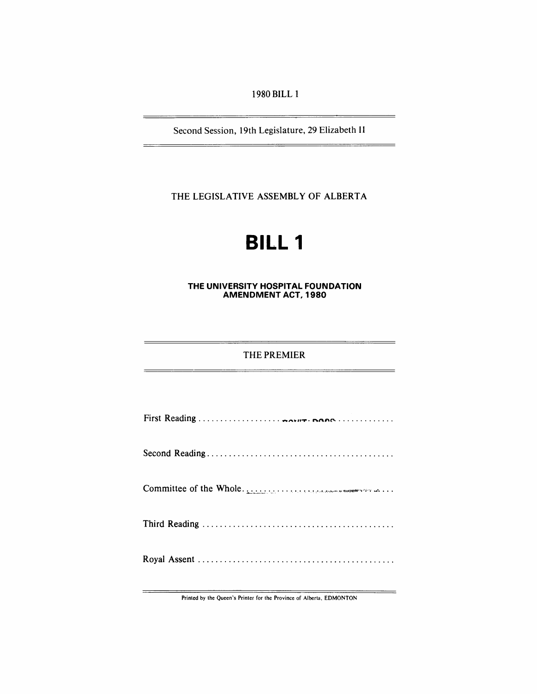1980 BILL 1

Second Session, 19th Legislature, 29 Elizabeth II

THE LEGISLATIVE ASSEMBLY OF ALBERTA

# **BILL 1**

# **THE UNIVERSITY HOSPITAL FOUNDATION AMENDMENT ACT, 1980**

# THE PREMIER

| Committee of the Whole. |
|-------------------------|
|                         |
|                         |

Printed by the Queen's Printer for the Province of Alberta, EDMONTON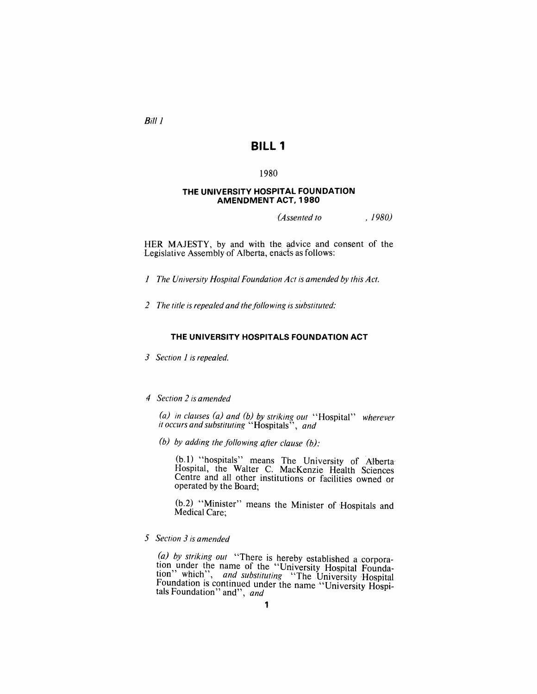$Bill$   $l$ 

# **BILL 1**

### 1980

#### **THE UNIVERSITY HOSPITAL FOUNDATION AMENDMENT ACT, 1980**

*(A ssented to ,1980)* 

HER MAJESTY, by and with the advice and consent of the Legislative Assembly of Alberta, enacts as follows:

J *The University HO\$pital Foundation Act is amended by this Act.* 

2 The title is repealed and the following is substituted:

#### **THE UNIVERSITY HOSPITALS FOUNDATION ACT**

3 Section 1 is repealed.

#### *4 Section* 2 *is amended*

*(a) in clauses (a) and (b) by striking out* "Hospital" *wherever it occurs and substituting* "Hospitals", *and* 

*(b) by adding the following after clause (b):* 

(b. I) "hospitals" means The University of Alberta' Hospital, the Walter C. MacKenzie Health Sciences Centre and all other institutions or facilities owned or operated by the Board;

(b.2) "Minister" means the Minister of 'Hospitals and Medical Care:

*5 Section* 3 *is amended* 

*(a) by striking out* "There is hereby established a corporation under the name of the "University Hospital Foundation" which", *and substituting* "The University Hospital Foundation is continued under the name "University Hospi-<br>tals Foundation" and", *and*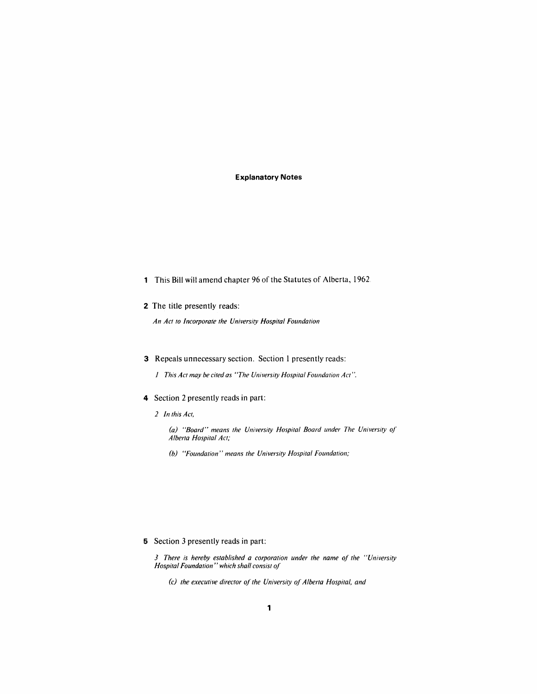#### **Explanatory Notes**

- 1 This Bill wilt amend chapter 96 of the Statutes of Alberta, 1962
- 2 The title presently reads:

*An Act to Incorporate the University Hospital Foundation* 

- 3 Repeals unnecessary section. Section 1 presently reads:
	- *1 This Act may be cired as "The University Hospital Foundation Act* ".
- 4 Section 2 presently reads in part:
	- *2 In this Act,* 
		- (a) "Board" means the University Hospital Board under The University of *Alberta Hospital Act;*
		- *(b) "Foundation" means the University Hospital Foundation;*

5 Section 3 presently reads in part:

*3 There is hereby established a corporation under the name of the "University Hospital Foundation" which shall consist of* 

*(c) the executive director of the University of Alberta Hospital, and*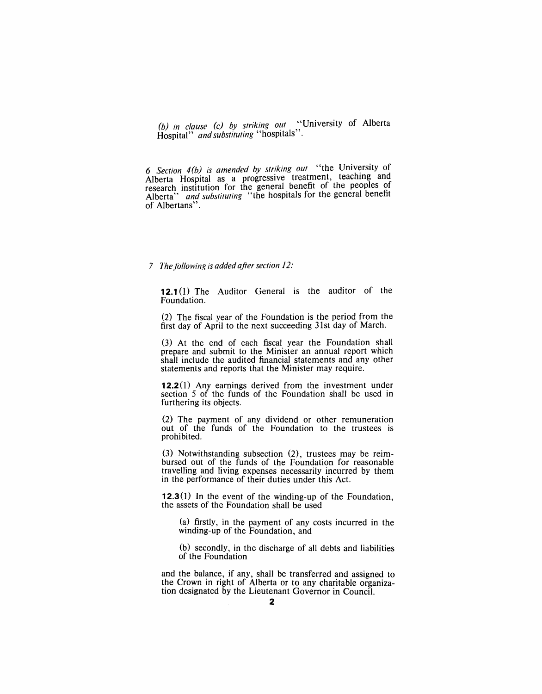*(b) in clause (c) by striking out* "University of Alberta Hospital" *and substituting* "hospitals".

6 Section 4(b) is amended by striking out "the University of Alberta Hospital as a progressive treatment, teachmg and research institution for the general benefit of the peoples of Alberta" *and substituting* "the hospitals for the general benefit of Albertans".

# *7 The following is added after section 12:*

**12.1** (I) The Auditor General is the auditor of the Foundation.

(2) The fiscal year of the Foundation is the period from the first day of April to the next succeeding 31st day of March.

(3) At the end of each fiscal year the Foundation shall prepare and submit to the Minister an annual report which shall include the audited financial statements and any other statements and reports that the Minister may require.

**12.2** (I) Any earnings derived from the investment under section 5 of the funds of the Foundation shall be used in furthering its objects.

(2) The payment of any dividend or other remuneration out of the funds of the Foundation to the trustees is prohibited.

(3) Notwithstanding subsection (2), trustees may be reimbursed out of the funds of the Foundation for reasonable travelling and living expenses necessarily incurred by them in the performance of their duties under this Act.

**12.3(1) In** the event of the winding-up of the Foundation, the assets of the Foundation shall be used

(a) firstly, in the payment of any costs incurred in the winding-up of the Foundation, and

(b) secondly, in the discharge of all debts and liabilities of the Foundation

and the balance, if any, shall be transferred and assigned to the Crown in right of Alberta or to any charitable organization designated by the Lieutenant Governor in Council.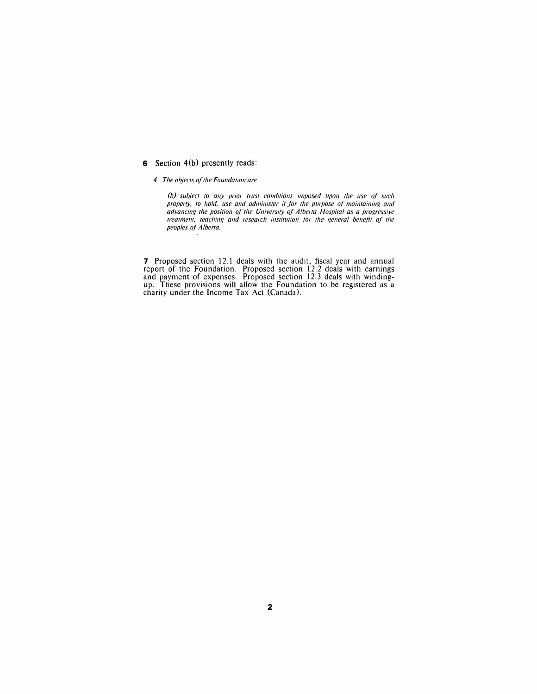#### 6 Section 4(b) presently reads:

*4 The objects of the Foundation are* 

(b) subject to any prior trust conditions imposed upon the use of such property, to hold, use and administer it for the purpose of maintaining and *advancing the position of the University of Alberta Hospital as a progressive treatment, teaching and research institution for the general benefit of the peoples of Alberta.* 

**7** Proposed section 12.1 deals with the audit, fiscal year and annual report of the Foundation. Proposed section 12.2 deals with earnings and payment of expenses. Proposed section 12.3 deals with windingup. These provisions will allow the Foundation to be registered as a charity under the Income Tax Act (Canada).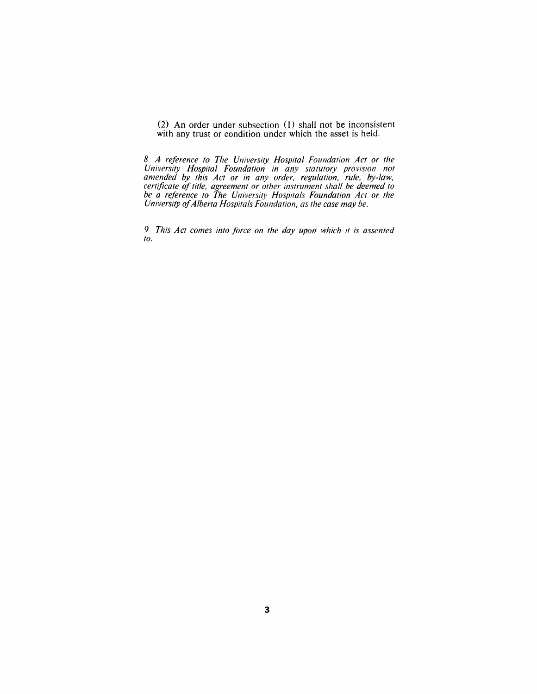(2) An order under subsection (1) shall not be inconsistent with any trust or condition under which the asset is held.

*8 A reference* fa *The University Hospital Foundation Act or the University Hospital Foundation in a'ny statutory provision not amended by this Act or in any order, regulation, rule, by-law, certificate of title, agreement or other instrument shall be deemed to be a reference to The University Hospitals Foundation Act or the University ojAlberta Hospitals Foundation, as the case may be.* 

**9** This Act comes into force on the day upon which it is assented *to.*